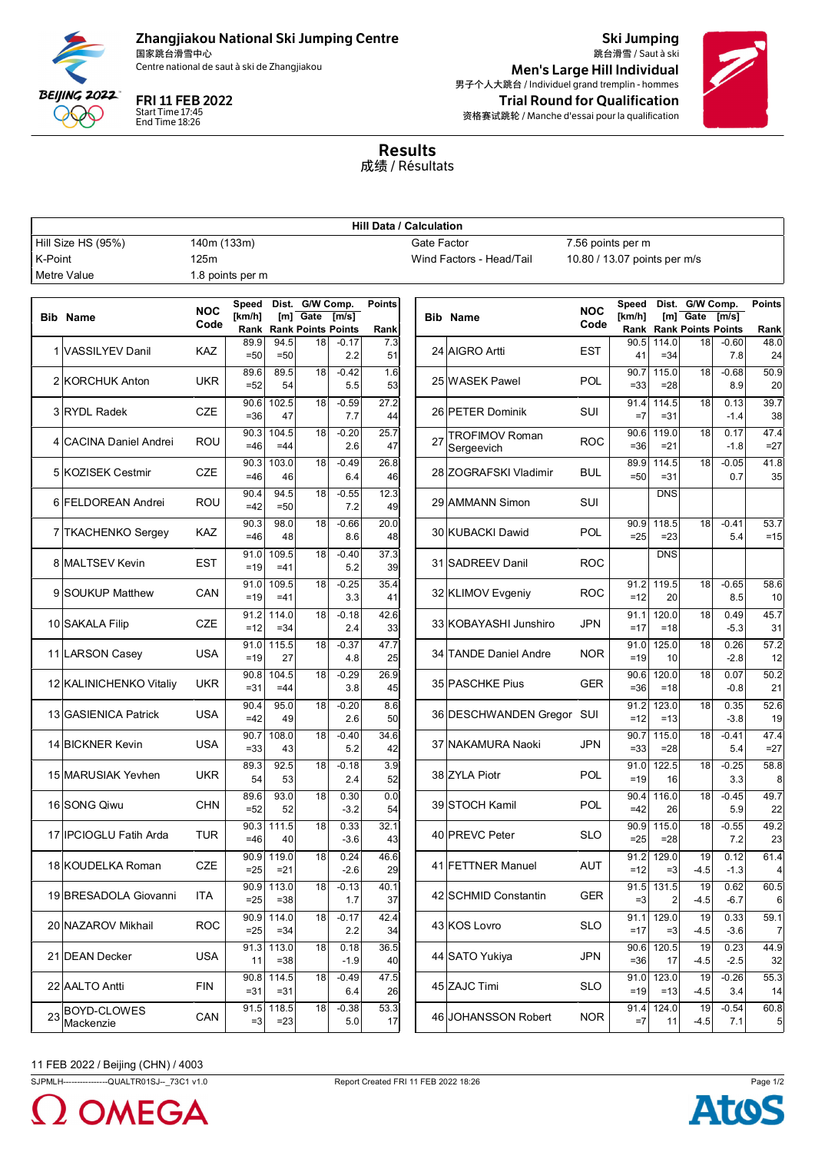

## Zhangjiakou National Ski Jumping Centre

国家跳台滑雪中心<br>Centre national de saut à ski de Zhangjiakou

Start Time 17:45 End Time 18:26

Ski Jumping 跳台滑雪 / Saut à ski Men's Large Hill Individual 男子个人大跳台 / Individuel grand tremplin - hommes FRI 11 FEB 2022 **Trial Round for Qualification** 资格赛试跳轮 / Manche d'essai pour la qualification



Results 成绩 / Résultats

|                                   | <b>Hill Data / Calculation</b> |                                                                                                                                                                                                                                                                              |                  |                 |                       |                    |                                                                                              |    |                                     |            |                |                      |              |                |                        |
|-----------------------------------|--------------------------------|------------------------------------------------------------------------------------------------------------------------------------------------------------------------------------------------------------------------------------------------------------------------------|------------------|-----------------|-----------------------|--------------------|----------------------------------------------------------------------------------------------|----|-------------------------------------|------------|----------------|----------------------|--------------|----------------|------------------------|
| Hill Size HS (95%)<br>140m (133m) |                                |                                                                                                                                                                                                                                                                              |                  |                 |                       |                    | Gate Factor<br>7.56 points per m<br>Wind Factors - Head/Tail<br>10.80 / 13.07 points per m/s |    |                                     |            |                |                      |              |                |                        |
| K-Point                           | Metre Value                    | 125m                                                                                                                                                                                                                                                                         | 1.8 points per m |                 |                       |                    |                                                                                              |    |                                     |            |                |                      |              |                |                        |
|                                   |                                |                                                                                                                                                                                                                                                                              |                  |                 |                       |                    |                                                                                              |    |                                     |            |                |                      |              |                |                        |
|                                   | <b>Bib Name</b>                | Dist. G/W Comp.<br>Dist. G/W Comp.<br><b>Points</b><br>Speed<br>Speed<br><b>NOC</b><br><b>NOC</b><br>[km/h]<br>$[m]$ Gate<br>$[m]$ Gate<br>[m/s]<br>[km/h]<br><b>Bib Name</b><br>Code<br>Code<br><b>Rank Rank Points Points</b><br><b>Rank Points Points</b><br>Rank<br>Rank |                  | [m/s]           | <b>Points</b><br>Rank |                    |                                                                                              |    |                                     |            |                |                      |              |                |                        |
|                                   |                                |                                                                                                                                                                                                                                                                              | 89.9             | 94.5            | 18                    | $-0.17$            | 7.3                                                                                          |    |                                     |            | 90.5           | 114.0                | 18           | $-0.60$        | 48.0                   |
|                                   | 1 VASSILYEV Danil              | <b>KAZ</b>                                                                                                                                                                                                                                                                   | $= 50$           | $=50$           |                       | 2.2                | 51                                                                                           |    | 24 AIGRO Artti                      | <b>EST</b> | 41             | $= 34$               |              | 7.8            | 24                     |
|                                   | 2 KORCHUK Anton                | <b>UKR</b>                                                                                                                                                                                                                                                                   | 89.6<br>$=52$    | 89.5<br>54      | 18                    | $-0.42$<br>5.5     | 1.6<br>53                                                                                    |    | 25 WASEK Pawel                      | POL        | 90.7<br>$= 33$ | 115.0<br>$= 28$      | 18           | $-0.68$<br>8.9 | 50.9<br>20             |
|                                   | 3 RYDL Radek                   | <b>CZE</b>                                                                                                                                                                                                                                                                   | 90.6<br>$= 36$   | 102.5<br>47     | 18                    | $-0.59$<br>7.7     | 27.2<br>44                                                                                   |    | 26 PETER Dominik                    | SUI        | 91.4<br>$=7$   | 114.5<br>$= 31$      | 18           | 0.13<br>$-1.4$ | 39.7<br>38             |
|                                   | 4 CACINA Daniel Andrei         | ROU                                                                                                                                                                                                                                                                          | 90.3<br>$=46$    | 104.5<br>$=44$  | 18                    | $-0.20$<br>2.6     | 25.7<br>47                                                                                   | 27 | <b>TROFIMOV Roman</b><br>Sergeevich | <b>ROC</b> | 90.6<br>$= 36$ | 119.0<br>$= 21$      | 18           | 0.17<br>$-1.8$ | 47.4<br>$=27$          |
|                                   | 5 KOZISEK Cestmir              | <b>CZE</b>                                                                                                                                                                                                                                                                   | 90.3<br>$=46$    | 103.0<br>46     | 18                    | $-0.49$<br>6.4     | 26.8<br>46                                                                                   |    | 28 ZOGRAFSKI Vladimir               | <b>BUL</b> | 89.9<br>$=50$  | 114.5<br>$= 31$      | 18           | $-0.05$<br>0.7 | 41.8<br>35             |
|                                   | 6 FELDOREAN Andrei             | <b>ROU</b>                                                                                                                                                                                                                                                                   | 90.4<br>$=42$    | 94.5<br>$=50$   | 18                    | $-0.55$<br>7.2     | 12.3<br>49                                                                                   |    | 29 AMMANN Simon                     | SUI        |                | <b>DNS</b>           |              |                |                        |
|                                   | 7 TKACHENKO Sergey             | KAZ                                                                                                                                                                                                                                                                          | 90.3<br>$=46$    | 98.0<br>48      | 18                    | $-0.66$<br>8.6     | 20.0<br>48                                                                                   |    | 30 KUBACKI Dawid                    | POL        | 90.9<br>$=25$  | 118.5<br>$= 23$      | 18           | $-0.41$<br>5.4 | 53.7<br>$=15$          |
|                                   | 8 MALTSEV Kevin                | <b>EST</b>                                                                                                                                                                                                                                                                   | 91.0<br>$=19$    | 109.5<br>$=41$  | 18                    | $-0.40$<br>5.2     | 37.3<br>39                                                                                   |    | 31 SADREEV Danil                    | <b>ROC</b> |                | <b>DNS</b>           |              |                |                        |
|                                   | 9 SOUKUP Matthew               | CAN                                                                                                                                                                                                                                                                          | 91.0<br>$=19$    | 109.5<br>$=41$  | 18                    | $-0.25$<br>3.3     | 35.4<br>41                                                                                   |    | 32 KLIMOV Evgeniy                   | <b>ROC</b> | 91.2<br>$=12$  | 119.5<br>20          | 18           | $-0.65$<br>8.5 | 58.6<br>10             |
|                                   | 10 SAKALA Filip                | <b>CZE</b>                                                                                                                                                                                                                                                                   | 91.2<br>$=12$    | 114.0<br>$= 34$ | 18                    | $-0.18$<br>2.4     | 42.6<br>33                                                                                   |    | 33 KOBAYASHI Junshiro               | <b>JPN</b> | 91.1<br>$=17$  | 120.0<br>$=18$       | 18           | 0.49<br>$-5.3$ | 45.7<br>31             |
|                                   | 11 LARSON Casey                | <b>USA</b>                                                                                                                                                                                                                                                                   | 91.0<br>$=19$    | 115.5<br>27     | 18                    | $-0.37$<br>4.8     | 47.7<br>25                                                                                   |    | 34 TANDE Daniel Andre               | <b>NOR</b> | 91.0<br>$=19$  | 125.0<br>10          | 18           | 0.26<br>$-2.8$ | 57.2<br>12             |
|                                   | 12 KALINICHENKO Vitaliy        | UKR                                                                                                                                                                                                                                                                          | 90.8<br>$= 31$   | 104.5<br>$=44$  | 18                    | $-0.29$<br>3.8     | 26.9<br>45                                                                                   |    | 35 PASCHKE Pius                     | <b>GER</b> | 90.6<br>$= 36$ | 120.0<br>$=18$       | 18           | 0.07<br>$-0.8$ | 50.2<br>21             |
|                                   | 13 GASIENICA Patrick           | <b>USA</b>                                                                                                                                                                                                                                                                   | 90.4<br>$=42$    | 95.0<br>49      | 18                    | $-0.20$<br>2.6     | 8.6<br>50                                                                                    |    | 36 DESCHWANDEN Gregor SUI           |            | 91.2<br>$=12$  | 123.0<br>$=13$       | 18           | 0.35<br>$-3.8$ | 52.6<br>19             |
|                                   | 14 BICKNER Kevin               | <b>USA</b>                                                                                                                                                                                                                                                                   | 90.7<br>$= 33$   | 108.0<br>43     | 18                    | $-0.40$<br>5.2     | 34.6<br>42                                                                                   |    | 37 NAKAMURA Naoki                   | <b>JPN</b> | 90.7<br>$= 33$ | 115.0<br>$= 28$      | 18           | $-0.41$<br>5.4 | 47.4<br>$=27$          |
|                                   | 15 MARUSIAK Yevhen             | <b>UKR</b>                                                                                                                                                                                                                                                                   | 89.3<br>54       | 92.5<br>53      | 18                    | $-0.18$<br>2.4     | 3.9<br>52                                                                                    |    | 38 ZYLA Piotr                       | <b>POL</b> | 91.0<br>$=19$  | 122.5<br>16          | 18           | $-0.25$<br>3.3 | 58.8<br>8              |
|                                   | 16 SONG Qiwu                   | <b>CHN</b>                                                                                                                                                                                                                                                                   | 89.6<br>$=52$    | 93.0<br>52      | 18                    | 0.30<br>$-3.2$     | 0.0<br>54                                                                                    |    | 39 STOCH Kamil                      | <b>POL</b> | 90.4<br>$=42$  | 116.0<br>26          | 18           | $-0.45$<br>5.9 | 49.7<br>22             |
|                                   | 17 IPCIOGLU Fatih Arda         | <b>TUR</b>                                                                                                                                                                                                                                                                   | 90.3<br>$=46$    | 111.5<br>40     | 18                    | 0.33<br>$-3.6$     | 32.1<br>43                                                                                   |    | 40 PREVC Peter                      | <b>SLO</b> | $=25$          | 90.9 115.0<br>$= 28$ | 18           | $-0.55$<br>7.2 | 49.2<br>23             |
|                                   | 18 KOUDELKA Roman              | CZE                                                                                                                                                                                                                                                                          | 90.9<br>$= 25$   | 119.0<br>$= 21$ | 18                    | 0.24<br>$-2.6$     | 46.6<br>29                                                                                   |    | 41 FETTNER Manuel                   | AUT        | 91.2<br>$=12$  | 129.0<br>$=3$        | 19<br>$-4.5$ | 0.12<br>$-1.3$ | 61.4                   |
|                                   | 19 BRESADOLA Giovanni          | ITA                                                                                                                                                                                                                                                                          | 90.9<br>$=25$    | 113.0<br>$= 38$ | 18                    | $-0.13$<br>1.7     | 40.1<br>37                                                                                   |    | 42 SCHMID Constantin                | <b>GER</b> | 91.5<br>$=3$   | 131.5                | 19<br>$-4.5$ | 0.62<br>$-6.7$ | 60.5<br>6              |
|                                   | 20 NAZAROV Mikhail             | <b>ROC</b>                                                                                                                                                                                                                                                                   | 90.9<br>$=25$    | 114.0<br>$= 34$ | 18                    | $-0.17$<br>2.2     | 42.4<br>34                                                                                   |    | 43 KOS Lovro                        | <b>SLO</b> | 91.1<br>$=17$  | 129.0<br>$=3$        | 19<br>$-4.5$ | 0.33<br>$-3.6$ | 59.1<br>7              |
|                                   | 21 DEAN Decker                 | <b>USA</b>                                                                                                                                                                                                                                                                   | 91.3<br>11       | 113.0<br>$= 38$ | 18                    | 0.18<br>$-1.9$     | 36.5<br>40                                                                                   |    | 44 SATO Yukiya                      | <b>JPN</b> | 90.6<br>$= 36$ | 120.5<br>17          | 19<br>$-4.5$ | 0.23<br>$-2.5$ | 44.9<br>32             |
|                                   | 22 AALTO Antti                 | <b>FIN</b>                                                                                                                                                                                                                                                                   | 90.8<br>$= 31$   | 114.5<br>$= 31$ | 18                    | $-0.49$<br>6.4     | 47.5<br>26                                                                                   |    | 45 ZAJC Timi                        | <b>SLO</b> | 91.0<br>$=19$  | 123.0<br>$=13$       | 19<br>$-4.5$ | $-0.26$<br>3.4 | 55.3<br>14             |
|                                   | 23 BOYD-CLOWES<br>Mackenzie    | CAN                                                                                                                                                                                                                                                                          | 91.5<br>$=3$     | 118.5<br>$= 23$ | 18                    | $-0.38$<br>$5.0\,$ | 53.3<br>17                                                                                   |    | 46 JOHANSSON Robert                 | <b>NOR</b> | 91.4<br>$=7$   | 124.0<br>11          | 19<br>$-4.5$ | $-0.54$<br>7.1 | 60.8<br>$\overline{5}$ |

## 11 FEB 2022 / Beijing (CHN) / 4003

SJPMLH---------------QUALTR01SJ--\_73C1 v1.0 Report Created FRI 11 FEB 2022 18:26 Page 1/2